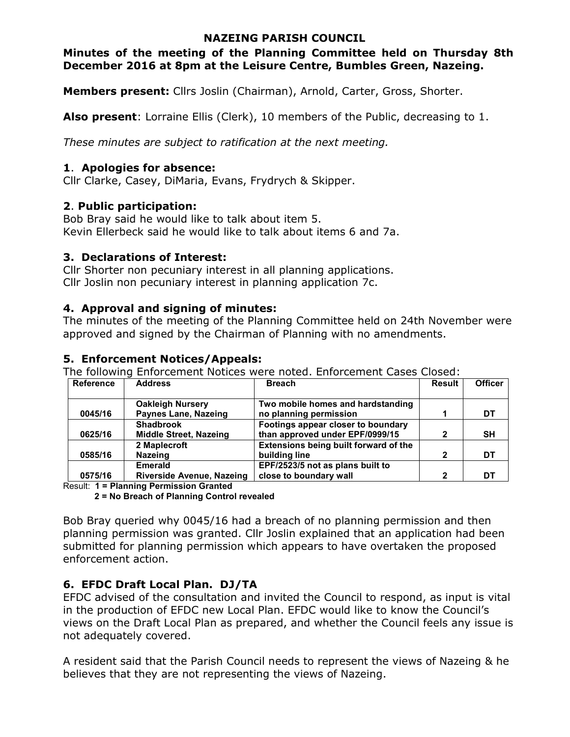### **NAZEING PARISH COUNCIL**

**Minutes of the meeting of the Planning Committee held on Thursday 8th December 2016 at 8pm at the Leisure Centre, Bumbles Green, Nazeing.** 

**Members present:** Cllrs Joslin (Chairman), Arnold, Carter, Gross, Shorter.

**Also present**: Lorraine Ellis (Clerk), 10 members of the Public, decreasing to 1.

*These minutes are subject to ratification at the next meeting.*

### **1**. **Apologies for absence:**

Cllr Clarke, Casey, DiMaria, Evans, Frydrych & Skipper.

### **2**. **Public participation:**

Bob Bray said he would like to talk about item 5. Kevin Ellerbeck said he would like to talk about items 6 and 7a.

### **3. Declarations of Interest:**

Cllr Shorter non pecuniary interest in all planning applications. Cllr Joslin non pecuniary interest in planning application 7c.

### **4. Approval and signing of minutes:**

The minutes of the meeting of the Planning Committee held on 24th November were approved and signed by the Chairman of Planning with no amendments.

# **5. Enforcement Notices/Appeals:**

The following Enforcement Notices were noted. Enforcement Cases Closed:

| <b>Reference</b> | <b>Address</b>                | <b>Breach</b>                         | <b>Result</b> | <b>Officer</b> |
|------------------|-------------------------------|---------------------------------------|---------------|----------------|
|                  |                               |                                       |               |                |
|                  | <b>Oakleigh Nursery</b>       | Two mobile homes and hardstanding     |               |                |
| 0045/16          | Paynes Lane, Nazeing          | no planning permission                |               | DT             |
|                  | <b>Shadbrook</b>              | Footings appear closer to boundary    |               |                |
| 0625/16          | <b>Middle Street, Nazeing</b> | than approved under EPF/0999/15       | 2             | <b>SH</b>      |
|                  | 2 Maplecroft                  | Extensions being built forward of the |               |                |
| 0585/16          | <b>Nazeing</b>                | building line                         | 2             | DT             |
|                  | <b>Emerald</b>                | EPF/2523/5 not as plans built to      |               |                |
| 0575/16          | Riverside Avenue, Nazeing     | close to boundary wall                | $\mathbf{2}$  | DТ             |

Result: **1 = Planning Permission Granted** 

**2 = No Breach of Planning Control revealed** 

Bob Bray queried why 0045/16 had a breach of no planning permission and then planning permission was granted. Cllr Joslin explained that an application had been submitted for planning permission which appears to have overtaken the proposed enforcement action.

# **6. EFDC Draft Local Plan. DJ/TA**

EFDC advised of the consultation and invited the Council to respond, as input is vital in the production of EFDC new Local Plan. EFDC would like to know the Council's views on the Draft Local Plan as prepared, and whether the Council feels any issue is not adequately covered.

A resident said that the Parish Council needs to represent the views of Nazeing & he believes that they are not representing the views of Nazeing.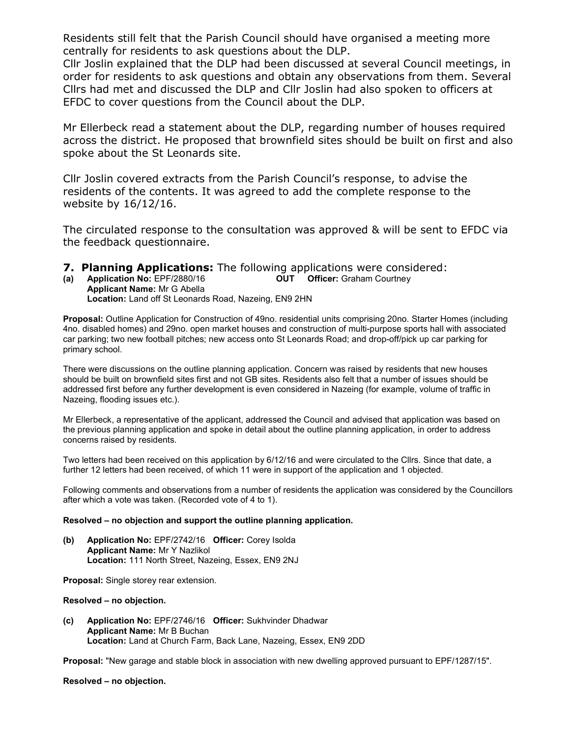Residents still felt that the Parish Council should have organised a meeting more centrally for residents to ask questions about the DLP.

Cllr Joslin explained that the DLP had been discussed at several Council meetings, in order for residents to ask questions and obtain any observations from them. Several Cllrs had met and discussed the DLP and Cllr Joslin had also spoken to officers at EFDC to cover questions from the Council about the DLP.

Mr Ellerbeck read a statement about the DLP, regarding number of houses required across the district. He proposed that brownfield sites should be built on first and also spoke about the St Leonards site.

Cllr Joslin covered extracts from the Parish Council's response, to advise the residents of the contents. It was agreed to add the complete response to the website by 16/12/16.

The circulated response to the consultation was approved & will be sent to EFDC via the feedback questionnaire.

- **7. Planning Applications:** The following applications were considered:<br>(a) Application No: EPF/2880/16 **OUT** Officer: Graham Courtney
- **(a) Application No:** EPF/2880/16 **OUT Officer:** Graham Courtney **Applicant Name:** Mr G Abella **Location:** Land off St Leonards Road, Nazeing, EN9 2HN

**Proposal:** Outline Application for Construction of 49no. residential units comprising 20no. Starter Homes (including 4no. disabled homes) and 29no. open market houses and construction of multi-purpose sports hall with associated car parking; two new football pitches; new access onto St Leonards Road; and drop-off/pick up car parking for primary school.

There were discussions on the outline planning application. Concern was raised by residents that new houses should be built on brownfield sites first and not GB sites. Residents also felt that a number of issues should be addressed first before any further development is even considered in Nazeing (for example, volume of traffic in Nazeing, flooding issues etc.).

Mr Ellerbeck, a representative of the applicant, addressed the Council and advised that application was based on the previous planning application and spoke in detail about the outline planning application, in order to address concerns raised by residents.

Two letters had been received on this application by 6/12/16 and were circulated to the Cllrs. Since that date, a further 12 letters had been received, of which 11 were in support of the application and 1 objected.

Following comments and observations from a number of residents the application was considered by the Councillors after which a vote was taken. (Recorded vote of 4 to 1).

#### **Resolved – no objection and support the outline planning application.**

**(b) Application No:** EPF/2742/16 **Officer:** Corey Isolda **Applicant Name:** Mr Y Nazlikol **Location:** 111 North Street, Nazeing, Essex, EN9 2NJ

**Proposal:** Single storey rear extension.

### **Resolved – no objection.**

**(c) Application No:** EPF/2746/16 **Officer:** Sukhvinder Dhadwar **Applicant Name:** Mr B Buchan **Location:** Land at Church Farm, Back Lane, Nazeing, Essex, EN9 2DD

**Proposal:** "New garage and stable block in association with new dwelling approved pursuant to EPF/1287/15".

**Resolved – no objection.**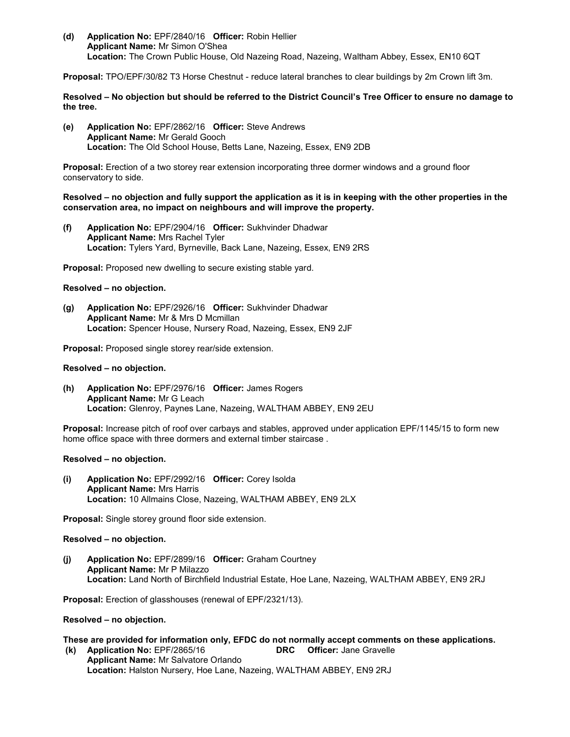**(d) Application No:** EPF/2840/16 **Officer:** Robin Hellier **Applicant Name:** Mr Simon O'Shea **Location:** The Crown Public House, Old Nazeing Road, Nazeing, Waltham Abbey, Essex, EN10 6QT

**Proposal:** TPO/EPF/30/82 T3 Horse Chestnut - reduce lateral branches to clear buildings by 2m Crown lift 3m.

**Resolved – No objection but should be referred to the District Council's Tree Officer to ensure no damage to the tree.** 

**(e) Application No:** EPF/2862/16 **Officer:** Steve Andrews **Applicant Name:** Mr Gerald Gooch **Location:** The Old School House, Betts Lane, Nazeing, Essex, EN9 2DB

**Proposal:** Erection of a two storey rear extension incorporating three dormer windows and a ground floor conservatory to side.

#### **Resolved – no objection and fully support the application as it is in keeping with the other properties in the conservation area, no impact on neighbours and will improve the property.**

**(f) Application No:** EPF/2904/16 **Officer:** Sukhvinder Dhadwar **Applicant Name:** Mrs Rachel Tyler **Location:** Tylers Yard, Byrneville, Back Lane, Nazeing, Essex, EN9 2RS

**Proposal:** Proposed new dwelling to secure existing stable yard.

#### **Resolved – no objection.**

**(g) Application No:** EPF/2926/16 **Officer:** Sukhvinder Dhadwar **Applicant Name:** Mr & Mrs D Mcmillan **Location:** Spencer House, Nursery Road, Nazeing, Essex, EN9 2JF

**Proposal:** Proposed single storey rear/side extension.

#### **Resolved – no objection.**

**(h) Application No:** EPF/2976/16 **Officer:** James Rogers **Applicant Name:** Mr G Leach **Location:** Glenroy, Paynes Lane, Nazeing, WALTHAM ABBEY, EN9 2EU

**Proposal:** Increase pitch of roof over carbays and stables, approved under application EPF/1145/15 to form new home office space with three dormers and external timber staircase .

#### **Resolved – no objection.**

**(i) Application No:** EPF/2992/16 **Officer:** Corey Isolda **Applicant Name:** Mrs Harris **Location:** 10 Allmains Close, Nazeing, WALTHAM ABBEY, EN9 2LX

**Proposal:** Single storey ground floor side extension.

#### **Resolved – no objection.**

**(j) Application No:** EPF/2899/16 **Officer:** Graham Courtney **Applicant Name:** Mr P Milazzo **Location:** Land North of Birchfield Industrial Estate, Hoe Lane, Nazeing, WALTHAM ABBEY, EN9 2RJ

**Proposal:** Erection of glasshouses (renewal of EPF/2321/13).

#### **Resolved – no objection.**

**These are provided for information only, EFDC do not normally accept comments on these applications.**

**(k)** Application No: EPF/2865/16 **Applicant Name:** Mr Salvatore Orlando **Location:** Halston Nursery, Hoe Lane, Nazeing, WALTHAM ABBEY, EN9 2RJ